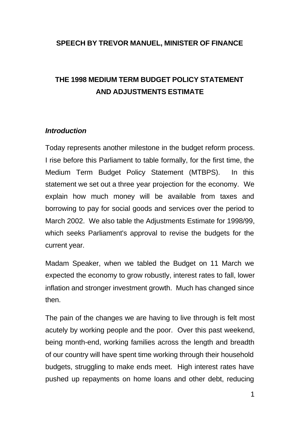## **SPEECH BY TREVOR MANUEL, MINISTER OF FINANCE**

# **THE 1998 MEDIUM TERM BUDGET POLICY STATEMENT AND ADJUSTMENTS ESTIMATE**

#### *Introduction*

Today represents another milestone in the budget reform process. I rise before this Parliament to table formally, for the first time, the Medium Term Budget Policy Statement (MTBPS). In this statement we set out a three year projection for the economy. We explain how much money will be available from taxes and borrowing to pay for social goods and services over the period to March 2002. We also table the Adjustments Estimate for 1998/99, which seeks Parliament's approval to revise the budgets for the current year.

Madam Speaker, when we tabled the Budget on 11 March we expected the economy to grow robustly, interest rates to fall, lower inflation and stronger investment growth. Much has changed since then.

The pain of the changes we are having to live through is felt most acutely by working people and the poor. Over this past weekend, being month-end, working families across the length and breadth of our country will have spent time working through their household budgets, struggling to make ends meet. High interest rates have pushed up repayments on home loans and other debt, reducing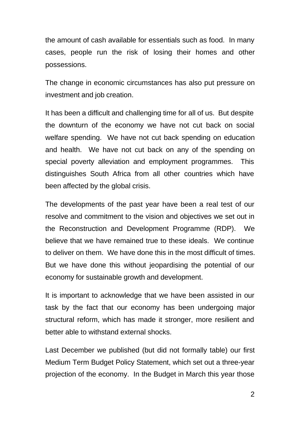the amount of cash available for essentials such as food. In many cases, people run the risk of losing their homes and other possessions.

The change in economic circumstances has also put pressure on investment and job creation.

It has been a difficult and challenging time for all of us. But despite the downturn of the economy we have not cut back on social welfare spending. We have not cut back spending on education and health. We have not cut back on any of the spending on special poverty alleviation and employment programmes. This distinguishes South Africa from all other countries which have been affected by the global crisis.

The developments of the past year have been a real test of our resolve and commitment to the vision and objectives we set out in the Reconstruction and Development Programme (RDP). We believe that we have remained true to these ideals. We continue to deliver on them. We have done this in the most difficult of times. But we have done this without jeopardising the potential of our economy for sustainable growth and development.

It is important to acknowledge that we have been assisted in our task by the fact that our economy has been undergoing major structural reform, which has made it stronger, more resilient and better able to withstand external shocks.

Last December we published (but did not formally table) our first Medium Term Budget Policy Statement, which set out a three-year projection of the economy. In the Budget in March this year those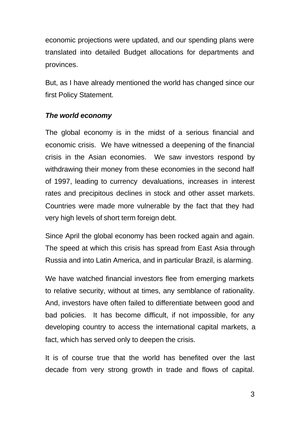economic projections were updated, and our spending plans were translated into detailed Budget allocations for departments and provinces.

But, as I have already mentioned the world has changed since our first Policy Statement.

## *The world economy*

The global economy is in the midst of a serious financial and economic crisis. We have witnessed a deepening of the financial crisis in the Asian economies. We saw investors respond by withdrawing their money from these economies in the second half of 1997, leading to currency devaluations, increases in interest rates and precipitous declines in stock and other asset markets. Countries were made more vulnerable by the fact that they had very high levels of short term foreign debt.

Since April the global economy has been rocked again and again. The speed at which this crisis has spread from East Asia through Russia and into Latin America, and in particular Brazil, is alarming.

We have watched financial investors flee from emerging markets to relative security, without at times, any semblance of rationality. And, investors have often failed to differentiate between good and bad policies. It has become difficult, if not impossible, for any developing country to access the international capital markets, a fact, which has served only to deepen the crisis.

It is of course true that the world has benefited over the last decade from very strong growth in trade and flows of capital.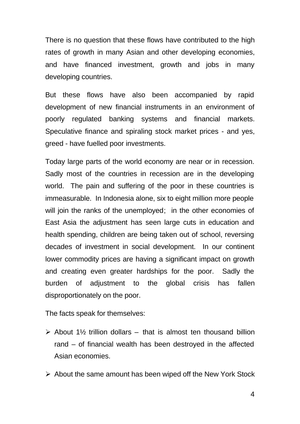There is no question that these flows have contributed to the high rates of growth in many Asian and other developing economies, and have financed investment, growth and jobs in many developing countries.

But these flows have also been accompanied by rapid development of new financial instruments in an environment of poorly regulated banking systems and financial markets. Speculative finance and spiraling stock market prices - and yes, greed - have fuelled poor investments.

Today large parts of the world economy are near or in recession. Sadly most of the countries in recession are in the developing world. The pain and suffering of the poor in these countries is immeasurable. In Indonesia alone, six to eight million more people will join the ranks of the unemployed; in the other economies of East Asia the adjustment has seen large cuts in education and health spending, children are being taken out of school, reversing decades of investment in social development. In our continent lower commodity prices are having a significant impact on growth and creating even greater hardships for the poor. Sadly the burden of adjustment to the global crisis has fallen disproportionately on the poor.

The facts speak for themselves:

- $\triangleright$  About 1½ trillion dollars that is almost ten thousand billion rand – of financial wealth has been destroyed in the affected Asian economies.
- $\triangleright$  About the same amount has been wiped off the New York Stock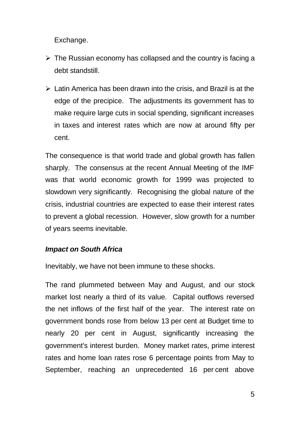Exchange.

- $\triangleright$  The Russian economy has collapsed and the country is facing a debt standstill.
- $\triangleright$  Latin America has been drawn into the crisis, and Brazil is at the edge of the precipice. The adjustments its government has to make require large cuts in social spending, significant increases in taxes and interest rates which are now at around fifty per cent.

The consequence is that world trade and global growth has fallen sharply. The consensus at the recent Annual Meeting of the IMF was that world economic growth for 1999 was projected to slowdown very significantly. Recognising the global nature of the crisis, industrial countries are expected to ease their interest rates to prevent a global recession. However, slow growth for a number of years seems inevitable.

# *Impact on South Africa*

Inevitably, we have not been immune to these shocks.

The rand plummeted between May and August, and our stock market lost nearly a third of its value. Capital outflows reversed the net inflows of the first half of the year. The interest rate on government bonds rose from below 13 per cent at Budget time to nearly 20 per cent in August, significantly increasing the government's interest burden. Money market rates, prime interest rates and home loan rates rose 6 percentage points from May to September, reaching an unprecedented 16 per cent above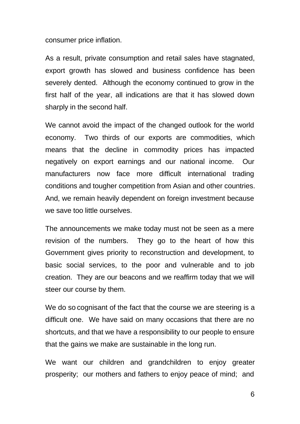consumer price inflation.

As a result, private consumption and retail sales have stagnated, export growth has slowed and business confidence has been severely dented. Although the economy continued to grow in the first half of the year, all indications are that it has slowed down sharply in the second half.

We cannot avoid the impact of the changed outlook for the world economy. Two thirds of our exports are commodities, which means that the decline in commodity prices has impacted negatively on export earnings and our national income. Our manufacturers now face more difficult international trading conditions and tougher competition from Asian and other countries. And, we remain heavily dependent on foreign investment because we save too little ourselves.

The announcements we make today must not be seen as a mere revision of the numbers. They go to the heart of how this Government gives priority to reconstruction and development, to basic social services, to the poor and vulnerable and to job creation. They are our beacons and we reaffirm today that we will steer our course by them.

We do so cognisant of the fact that the course we are steering is a difficult one. We have said on many occasions that there are no shortcuts, and that we have a responsibility to our people to ensure that the gains we make are sustainable in the long run.

We want our children and grandchildren to enjoy greater prosperity; our mothers and fathers to enjoy peace of mind; and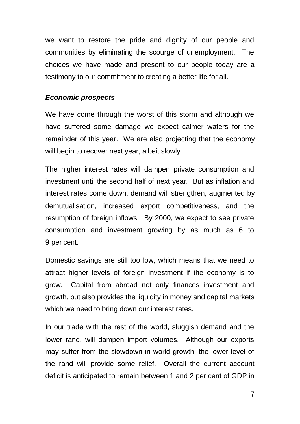we want to restore the pride and dignity of our people and communities by eliminating the scourge of unemployment. The choices we have made and present to our people today are a testimony to our commitment to creating a better life for all.

#### *Economic prospects*

We have come through the worst of this storm and although we have suffered some damage we expect calmer waters for the remainder of this year. We are also projecting that the economy will begin to recover next year, albeit slowly.

The higher interest rates will dampen private consumption and investment until the second half of next year. But as inflation and interest rates come down, demand will strengthen, augmented by demutualisation, increased export competitiveness, and the resumption of foreign inflows. By 2000, we expect to see private consumption and investment growing by as much as 6 to 9 per cent.

Domestic savings are still too low, which means that we need to attract higher levels of foreign investment if the economy is to grow. Capital from abroad not only finances investment and growth, but also provides the liquidity in money and capital markets which we need to bring down our interest rates.

In our trade with the rest of the world, sluggish demand and the lower rand, will dampen import volumes. Although our exports may suffer from the slowdown in world growth, the lower level of the rand will provide some relief. Overall the current account deficit is anticipated to remain between 1 and 2 per cent of GDP in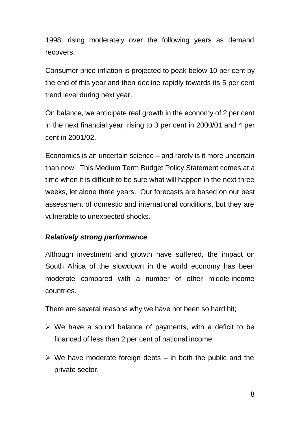1998, rising moderately over the following years as demand recovers.

Consumer price inflation is projected to peak below 10 per cent by the end of this year and then decline rapidly towards its 5 per cent trend level during next year.

On balance, we anticipate real growth in the economy of 2 per cent in the next financial year, rising to 3 per cent in 2000/01 and 4 per cent in 2001/02.

Economics is an uncertain science – and rarely is it more uncertain than now. This Medium Term Budget Policy Statement comes at a time when it is difficult to be sure what will happen in the next three weeks, let alone three years. Our forecasts are based on our best assessment of domestic and international conditions, but they are vulnerable to unexpected shocks.

# *Relatively strong performance*

Although investment and growth have suffered, the impact on South Africa of the slowdown in the world economy has been moderate compared with a number of other middle-income countries.

There are several reasons why we have not been so hard hit;

- $\triangleright$  We have a sound balance of payments, with a deficit to be financed of less than 2 per cent of national income.
- $\triangleright$  We have moderate foreign debts in both the public and the private sector.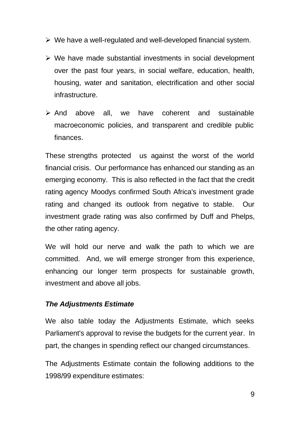- $\triangleright$  We have a well-regulated and well-developed financial system.
- $\triangleright$  We have made substantial investments in social development over the past four years, in social welfare, education, health, housing, water and sanitation, electrification and other social infrastructure.
- $\triangleright$  And above all, we have coherent and sustainable macroeconomic policies, and transparent and credible public finances.

These strengths protected us against the worst of the world financial crisis. Our performance has enhanced our standing as an emerging economy. This is also reflected in the fact that the credit rating agency Moodys confirmed South Africa's investment grade rating and changed its outlook from negative to stable. Our investment grade rating was also confirmed by Duff and Phelps, the other rating agency.

We will hold our nerve and walk the path to which we are committed. And, we will emerge stronger from this experience, enhancing our longer term prospects for sustainable growth, investment and above all jobs.

## *The Adjustments Estimate*

We also table today the Adjustments Estimate, which seeks Parliament's approval to revise the budgets for the current year. In part, the changes in spending reflect our changed circumstances.

The Adjustments Estimate contain the following additions to the 1998/99 expenditure estimates: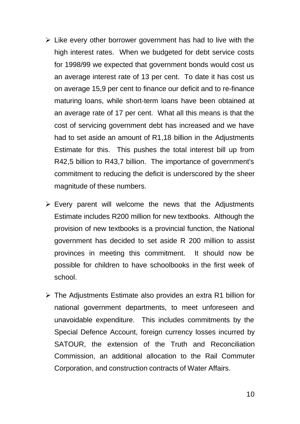- $\triangleright$  Like every other borrower government has had to live with the high interest rates. When we budgeted for debt service costs for 1998/99 we expected that government bonds would cost us an average interest rate of 13 per cent. To date it has cost us on average 15,9 per cent to finance our deficit and to re-finance maturing loans, while short-term loans have been obtained at an average rate of 17 per cent. What all this means is that the cost of servicing government debt has increased and we have had to set aside an amount of R1,18 billion in the Adjustments Estimate for this. This pushes the total interest bill up from R42,5 billion to R43,7 billion. The importance of government's commitment to reducing the deficit is underscored by the sheer magnitude of these numbers.
- $\triangleright$  Every parent will welcome the news that the Adjustments Estimate includes R200 million for new textbooks. Although the provision of new textbooks is a provincial function, the National government has decided to set aside R 200 million to assist provinces in meeting this commitment. It should now be possible for children to have schoolbooks in the first week of school.
- $\triangleright$  The Adjustments Estimate also provides an extra R1 billion for national government departments, to meet unforeseen and unavoidable expenditure. This includes commitments by the Special Defence Account, foreign currency losses incurred by SATOUR, the extension of the Truth and Reconciliation Commission, an additional allocation to the Rail Commuter Corporation, and construction contracts of Water Affairs.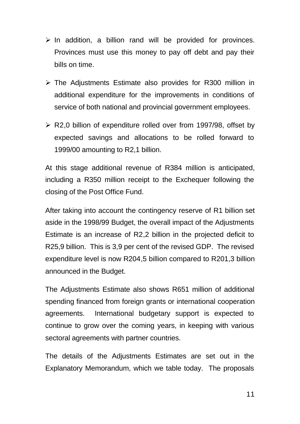- $\triangleright$  In addition, a billion rand will be provided for provinces. Provinces must use this money to pay off debt and pay their bills on time.
- $\triangleright$  The Adjustments Estimate also provides for R300 million in additional expenditure for the improvements in conditions of service of both national and provincial government employees.
- $\triangleright$  R2,0 billion of expenditure rolled over from 1997/98, offset by expected savings and allocations to be rolled forward to 1999/00 amounting to R2,1 billion.

At this stage additional revenue of R384 million is anticipated, including a R350 million receipt to the Exchequer following the closing of the Post Office Fund.

After taking into account the contingency reserve of R1 billion set aside in the 1998/99 Budget, the overall impact of the Adjustments Estimate is an increase of R2,2 billion in the projected deficit to R25,9 billion. This is 3,9 per cent of the revised GDP. The revised expenditure level is now R204,5 billion compared to R201,3 billion announced in the Budget.

The Adjustments Estimate also shows R651 million of additional spending financed from foreign grants or international cooperation agreements. International budgetary support is expected to continue to grow over the coming years, in keeping with various sectoral agreements with partner countries.

The details of the Adjustments Estimates are set out in the Explanatory Memorandum, which we table today. The proposals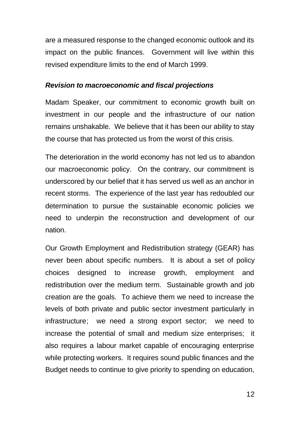are a measured response to the changed economic outlook and its impact on the public finances. Government will live within this revised expenditure limits to the end of March 1999.

#### *Revision to macroeconomic and fiscal projections*

Madam Speaker, our commitment to economic growth built on investment in our people and the infrastructure of our nation remains unshakable. We believe that it has been our ability to stay the course that has protected us from the worst of this crisis.

The deterioration in the world economy has not led us to abandon our macroeconomic policy. On the contrary, our commitment is underscored by our belief that it has served us well as an anchor in recent storms. The experience of the last year has redoubled our determination to pursue the sustainable economic policies we need to underpin the reconstruction and development of our nation.

Our Growth Employment and Redistribution strategy (GEAR) has never been about specific numbers. It is about a set of policy choices designed to increase growth, employment and redistribution over the medium term. Sustainable growth and job creation are the goals. To achieve them we need to increase the levels of both private and public sector investment particularly in infrastructure; we need a strong export sector; we need to increase the potential of small and medium size enterprises; it also requires a labour market capable of encouraging enterprise while protecting workers. It requires sound public finances and the Budget needs to continue to give priority to spending on education,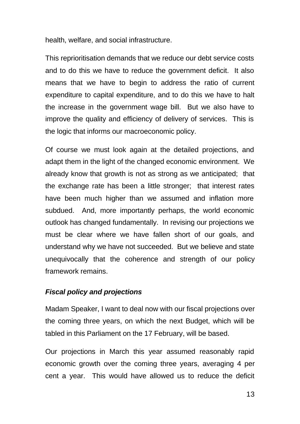health, welfare, and social infrastructure.

This reprioritisation demands that we reduce our debt service costs and to do this we have to reduce the government deficit. It also means that we have to begin to address the ratio of current expenditure to capital expenditure, and to do this we have to halt the increase in the government wage bill. But we also have to improve the quality and efficiency of delivery of services. This is the logic that informs our macroeconomic policy.

Of course we must look again at the detailed projections, and adapt them in the light of the changed economic environment. We already know that growth is not as strong as we anticipated; that the exchange rate has been a little stronger; that interest rates have been much higher than we assumed and inflation more subdued. And, more importantly perhaps, the world economic outlook has changed fundamentally. In revising our projections we must be clear where we have fallen short of our goals, and understand why we have not succeeded. But we believe and state unequivocally that the coherence and strength of our policy framework remains.

## *Fiscal policy and projections*

Madam Speaker, I want to deal now with our fiscal projections over the coming three years, on which the next Budget, which will be tabled in this Parliament on the 17 February, will be based.

Our projections in March this year assumed reasonably rapid economic growth over the coming three years, averaging 4 per cent a year. This would have allowed us to reduce the deficit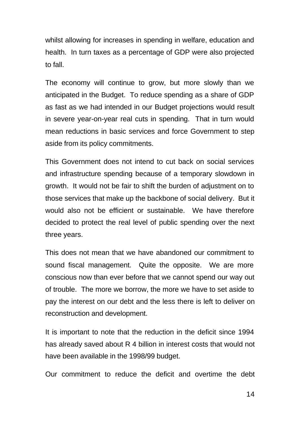whilst allowing for increases in spending in welfare, education and health. In turn taxes as a percentage of GDP were also projected to fall.

The economy will continue to grow, but more slowly than we anticipated in the Budget. To reduce spending as a share of GDP as fast as we had intended in our Budget projections would result in severe year-on-year real cuts in spending. That in turn would mean reductions in basic services and force Government to step aside from its policy commitments.

This Government does not intend to cut back on social services and infrastructure spending because of a temporary slowdown in growth. It would not be fair to shift the burden of adjustment on to those services that make up the backbone of social delivery. But it would also not be efficient or sustainable. We have therefore decided to protect the real level of public spending over the next three years.

This does not mean that we have abandoned our commitment to sound fiscal management. Quite the opposite. We are more conscious now than ever before that we cannot spend our way out of trouble. The more we borrow, the more we have to set aside to pay the interest on our debt and the less there is left to deliver on reconstruction and development.

It is important to note that the reduction in the deficit since 1994 has already saved about R 4 billion in interest costs that would not have been available in the 1998/99 budget.

Our commitment to reduce the deficit and overtime the debt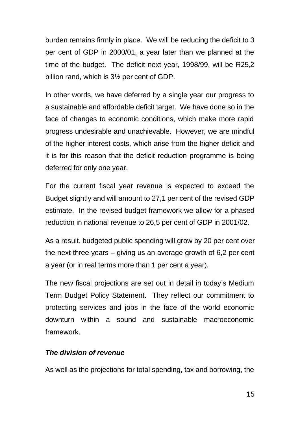burden remains firmly in place. We will be reducing the deficit to 3 per cent of GDP in 2000/01, a year later than we planned at the time of the budget. The deficit next year, 1998/99, will be R25,2 billion rand, which is 3½ per cent of GDP.

In other words, we have deferred by a single year our progress to a sustainable and affordable deficit target. We have done so in the face of changes to economic conditions, which make more rapid progress undesirable and unachievable. However, we are mindful of the higher interest costs, which arise from the higher deficit and it is for this reason that the deficit reduction programme is being deferred for only one year.

For the current fiscal year revenue is expected to exceed the Budget slightly and will amount to 27,1 per cent of the revised GDP estimate. In the revised budget framework we allow for a phased reduction in national revenue to 26,5 per cent of GDP in 2001/02.

As a result, budgeted public spending will grow by 20 per cent over the next three years – giving us an average growth of 6,2 per cent a year (or in real terms more than 1 per cent a year).

The new fiscal projections are set out in detail in today's Medium Term Budget Policy Statement. They reflect our commitment to protecting services and jobs in the face of the world economic downturn within a sound and sustainable macroeconomic framework.

# *The division of revenue*

As well as the projections for total spending, tax and borrowing, the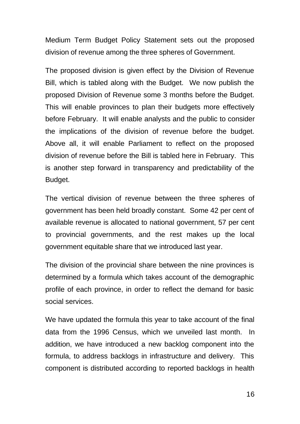Medium Term Budget Policy Statement sets out the proposed division of revenue among the three spheres of Government.

The proposed division is given effect by the Division of Revenue Bill, which is tabled along with the Budget. We now publish the proposed Division of Revenue some 3 months before the Budget. This will enable provinces to plan their budgets more effectively before February. It will enable analysts and the public to consider the implications of the division of revenue before the budget. Above all, it will enable Parliament to reflect on the proposed division of revenue before the Bill is tabled here in February. This is another step forward in transparency and predictability of the Budget.

The vertical division of revenue between the three spheres of government has been held broadly constant. Some 42 per cent of available revenue is allocated to national government, 57 per cent to provincial governments, and the rest makes up the local government equitable share that we introduced last year.

The division of the provincial share between the nine provinces is determined by a formula which takes account of the demographic profile of each province, in order to reflect the demand for basic social services.

We have updated the formula this year to take account of the final data from the 1996 Census, which we unveiled last month. In addition, we have introduced a new backlog component into the formula, to address backlogs in infrastructure and delivery. This component is distributed according to reported backlogs in health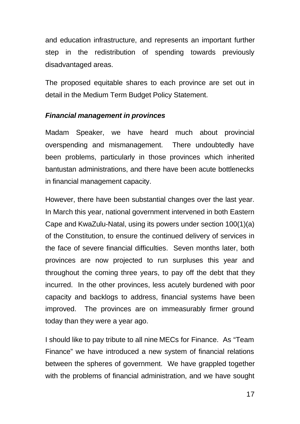and education infrastructure, and represents an important further step in the redistribution of spending towards previously disadvantaged areas.

The proposed equitable shares to each province are set out in detail in the Medium Term Budget Policy Statement.

## *Financial management in provinces*

Madam Speaker, we have heard much about provincial overspending and mismanagement. There undoubtedly have been problems, particularly in those provinces which inherited bantustan administrations, and there have been acute bottlenecks in financial management capacity.

However, there have been substantial changes over the last year. In March this year, national government intervened in both Eastern Cape and KwaZulu-Natal, using its powers under section 100(1)(a) of the Constitution, to ensure the continued delivery of services in the face of severe financial difficulties. Seven months later, both provinces are now projected to run surpluses this year and throughout the coming three years, to pay off the debt that they incurred. In the other provinces, less acutely burdened with poor capacity and backlogs to address, financial systems have been improved. The provinces are on immeasurably firmer ground today than they were a year ago.

I should like to pay tribute to all nine MECs for Finance. As "Team Finance" we have introduced a new system of financial relations between the spheres of government. We have grappled together with the problems of financial administration, and we have sought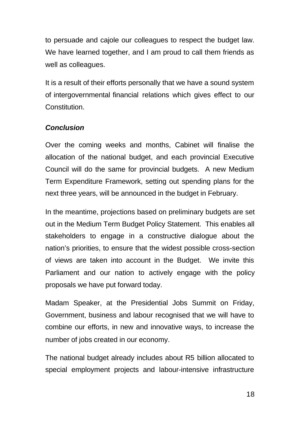to persuade and cajole our colleagues to respect the budget law. We have learned together, and I am proud to call them friends as well as colleagues.

It is a result of their efforts personally that we have a sound system of intergovernmental financial relations which gives effect to our Constitution.

## *Conclusion*

Over the coming weeks and months, Cabinet will finalise the allocation of the national budget, and each provincial Executive Council will do the same for provincial budgets. A new Medium Term Expenditure Framework, setting out spending plans for the next three years, will be announced in the budget in February.

In the meantime, projections based on preliminary budgets are set out in the Medium Term Budget Policy Statement. This enables all stakeholders to engage in a constructive dialogue about the nation's priorities, to ensure that the widest possible cross-section of views are taken into account in the Budget. We invite this Parliament and our nation to actively engage with the policy proposals we have put forward today.

Madam Speaker, at the Presidential Jobs Summit on Friday, Government, business and labour recognised that we will have to combine our efforts, in new and innovative ways, to increase the number of jobs created in our economy.

The national budget already includes about R5 billion allocated to special employment projects and labour-intensive infrastructure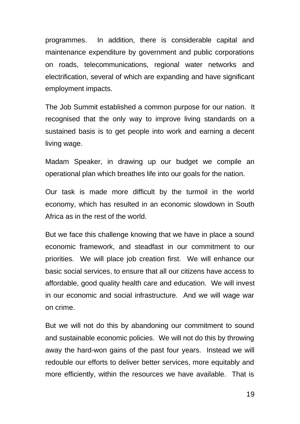programmes. In addition, there is considerable capital and maintenance expenditure by government and public corporations on roads, telecommunications, regional water networks and electrification, several of which are expanding and have significant employment impacts.

The Job Summit established a common purpose for our nation. It recognised that the only way to improve living standards on a sustained basis is to get people into work and earning a decent living wage.

Madam Speaker, in drawing up our budget we compile an operational plan which breathes life into our goals for the nation.

Our task is made more difficult by the turmoil in the world economy, which has resulted in an economic slowdown in South Africa as in the rest of the world.

But we face this challenge knowing that we have in place a sound economic framework, and steadfast in our commitment to our priorities. We will place job creation first. We will enhance our basic social services, to ensure that all our citizens have access to affordable, good quality health care and education. We will invest in our economic and social infrastructure. And we will wage war on crime.

But we will not do this by abandoning our commitment to sound and sustainable economic policies. We will not do this by throwing away the hard-won gains of the past four years. Instead we will redouble our efforts to deliver better services, more equitably and more efficiently, within the resources we have available. That is